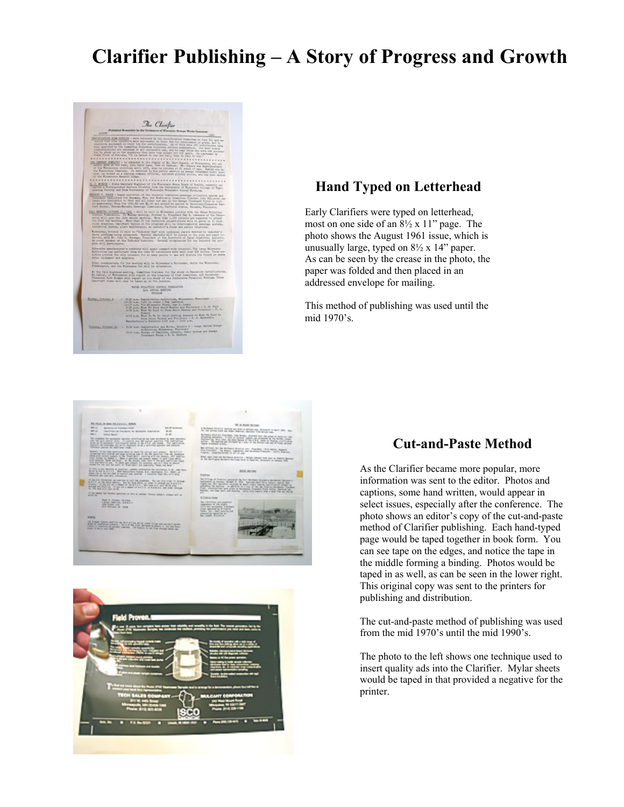## **Clarifier Publishing – A Story of Progress and Growth**



## **Hand Typed on Letterhead**

Early Clarifiers were typed on letterhead, most on one side of an 8½ x 11" page. The photo shows the August 1961 issue, which is unusually large, typed on 8½ x 14" paper. As can be seen by the crease in the photo, the paper was folded and then placed in an addressed envelope for mailing.

This method of publishing was used until the mid 1970's.





## **Cut-and-Paste Method**

As the Clarifier became more popular, more information was sent to the editor. Photos and captions, some hand written, would appear in select issues, especially after the conference. The photo shows an editor's copy of the cut-and-paste method of Clarifier publishing. Each hand-typed page would be taped together in book form. You can see tape on the edges, and notice the tape in the middle forming a binding. Photos would be taped in as well, as can be seen in the lower right. This original copy was sent to the printers for publishing and distribution.

The cut-and-paste method of publishing was used from the mid 1970's until the mid 1990's.

The photo to the left shows one technique used to insert quality ads into the Clarifier. Mylar sheets would be taped in that provided a negative for the printer.